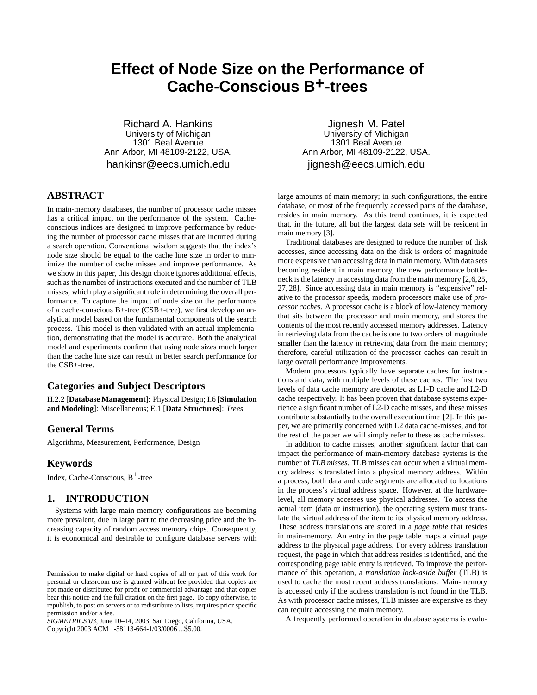# **Effect of Node Size on the Performance of Cache-Conscious B+-trees**

Richard A. Hankins University of Michigan 1301 Beal Avenue Ann Arbor, MI 48109-2122, USA. hankinsr@eecs.umich.edu

# **ABSTRACT**

In main-memory databases, the number of processor cache misses has a critical impact on the performance of the system. Cacheconscious indices are designed to improve performance by reducing the number of processor cache misses that are incurred during a search operation. Conventional wisdom suggests that the index's node size should be equal to the cache line size in order to minimize the number of cache misses and improve performance. As we show in this paper, this design choice ignores additional effects, such as the number of instructions executed and the number of TLB misses, which play a significant role in determining the overall performance. To capture the impact of node size on the performance of a cache-conscious B+-tree (CSB+-tree), we first develop an analytical model based on the fundamental components of the search process. This model is then validated with an actual implementation, demonstrating that the model is accurate. Both the analytical model and experiments confirm that using node sizes much larger than the cache line size can result in better search performance for the CSB+-tree.

# **Categories and Subject Descriptors**

H.2.2 [**Database Management**]: Physical Design; I.6 [**Simulation and Modeling**]: Miscellaneous; E.1 [**Data Structures**]: *Trees*

# **General Terms**

Algorithms, Measurement, Performance, Design

## **Keywords**

Index, Cache-Conscious, B<sup>+</sup>-tree

# **1. INTRODUCTION**

Systems with large main memory configurations are becoming more prevalent, due in large part to the decreasing price and the increasing capacity of random access memory chips. Consequently, it is economical and desirable to configure database servers with

*SIGMETRICS'03,* June 10–14, 2003, San Diego, California, USA. Copyright 2003 ACM 1-58113-664-1/03/0006 ...\$5.00.

Jignesh M. Patel University of Michigan 1301 Beal Avenue Ann Arbor, MI 48109-2122, USA. jignesh@eecs.umich.edu

large amounts of main memory; in such configurations, the entire database, or most of the frequently accessed parts of the database, resides in main memory. As this trend continues, it is expected that, in the future, all but the largest data sets will be resident in main memory [3].

Traditional databases are designed to reduce the number of disk accesses, since accessing data on the disk is orders of magnitude more expensive than accessing data in main memory. With data sets becoming resident in main memory, the new performance bottleneck is the latency in accessing data from the main memory [2,6,25, 27, 28]. Since accessing data in main memory is "expensive" relative to the processor speeds, modern processors make use of *processor caches*. A processor cache is a block of low-latency memory that sits between the processor and main memory, and stores the contents of the most recently accessed memory addresses. Latency in retrieving data from the cache is one to two orders of magnitude smaller than the latency in retrieving data from the main memory; therefore, careful utilization of the processor caches can result in large overall performance improvements.

Modern processors typically have separate caches for instructions and data, with multiple levels of these caches. The first two levels of data cache memory are denoted as L1-D cache and L2-D cache respectively. It has been proven that database systems experience a significant number of L2-D cache misses, and these misses contribute substantially to the overall execution time [2]. In this paper, we are primarily concerned with L2 data cache-misses, and for the rest of the paper we will simply refer to these as cache misses.

In addition to cache misses, another significant factor that can impact the performance of main-memory database systems is the number of *TLB misses*. TLB misses can occur when a virtual memory address is translated into a physical memory address. Within a process, both data and code segments are allocated to locations in the process's virtual address space. However, at the hardwarelevel, all memory accesses use physical addresses. To access the actual item (data or instruction), the operating system must translate the virtual address of the item to its physical memory address. These address translations are stored in a *page table* that resides in main-memory. An entry in the page table maps a virtual page address to the physical page address. For every address translation request, the page in which that address resides is identified, and the corresponding page table entry is retrieved. To improve the performance of this operation, a *translation look-aside buffer* (TLB) is used to cache the most recent address translations. Main-memory is accessed only if the address translation is not found in the TLB. As with processor cache misses, TLB misses are expensive as they can require accessing the main memory.

A frequently performed operation in database systems is evalu-

Permission to make digital or hard copies of all or part of this work for personal or classroom use is granted without fee provided that copies are not made or distributed for profit or commercial advantage and that copies bear this notice and the full citation on the first page. To copy otherwise, to republish, to post on servers or to redistribute to lists, requires prior specific permission and/or a fee.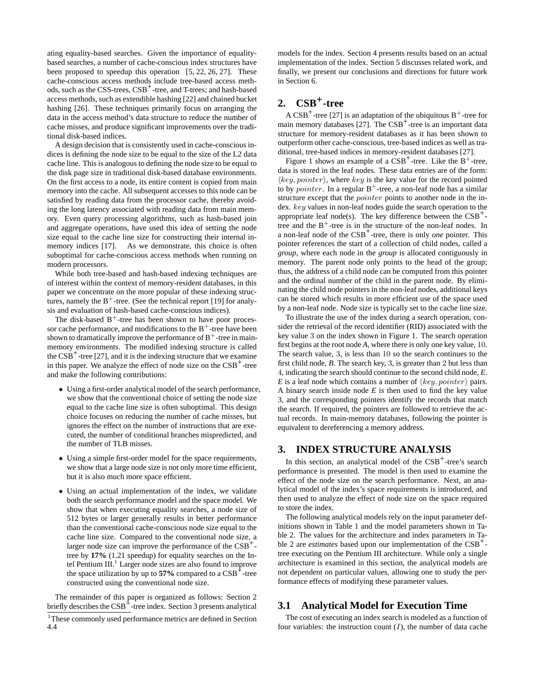ating equality-based searches. Given the importance of equalitybased searches, a number of cache-conscious index structures have been proposed to speedup this operation [5, 22, 26, 27]. These cache-conscious access methods include tree-based access methods, such as the CSS-trees, CSB+ -tree, and T-trees; and hash-based access methods, such as extendible hashing [22] and chained bucket hashing [26]. These techniques primarily focus on arranging the data in the access method's data structure to reduce the number of cache misses, and produce significant improvements over the traditional disk-based indices.

A design decision that is consistently used in cache-conscious indices is defining the node size to be equal to the size of the L2 data cache line. This is analogous to defining the node size to be equal to the disk page size in traditional disk-based database environments. On the first access to a node, its entire content is copied from main memory into the cache. All subsequent accesses to this node can be satisfied by reading data from the processor cache, thereby avoiding the long latency associated with reading data from main memory. Even query processing algorithms, such as hash-based join and aggregate operations, have used this idea of setting the node size equal to the cache line size for constructing their internal inmemory indices [17]. As we demonstrate, this choice is often suboptimal for cache-conscious access methods when running on modern processors.

While both tree-based and hash-based indexing techniques are of interest within the context of memory-resident databases, in this paper we concentrate on the more popular of these indexing structures, namely the  $B^+$ -tree. (See the technical report [19] for analysis and evaluation of hash-based cache-conscious indices).

The disk-based  $B^+$ -tree has been shown to have poor processor cache performance, and modifications to the  $B^+$ -tree have been shown to dramatically improve the performance of  $B^+$ -tree in mainmemory environments. The modified indexing structure is called the  $CSB<sup>+</sup>$ -tree [27], and it is the indexing structure that we examine in this paper. We analyze the effect of node size on the  $CSB<sup>+</sup>$ -tree and make the following contributions:

- Using a first-order analytical model of the search performance, we show that the conventional choice of setting the node size equal to the cache line size is often suboptimal. This design choice focuses on reducing the number of cache misses, but ignores the effect on the number of instructions that are executed, the number of conditional branches mispredicted, and the number of TLB misses.
- Using a simple first-order model for the space requirements, we show that a large node size is not only more time efficient, but it is also much more space efficient.
- Using an actual implementation of the index, we validate both the search performance model and the space model. We show that when executing equality searches, a node size of 512 bytes or larger generally results in better performance than the conventional cache-conscious node size equal to the cache line size. Compared to the conventional node size, a larger node size can improve the performance of the CSB<sup>+</sup>tree by **17%** (1.21 speedup) for equality searches on the Intel Pentium III.<sup>1</sup> Larger node sizes are also found to improve the space utilization by up to  $57\%$  compared to a  $CSB<sup>+</sup>$ -tree constructed using the conventional node size.

The remainder of this paper is organized as follows: Section 2 briefly describes the CSB<sup>+</sup>-tree index. Section 3 presents analytical

models for the index. Section 4 presents results based on an actual implementation of the index. Section 5 discusses related work, and finally, we present our conclusions and directions for future work in Section 6.

# **2. CSB+-tree**

A  $CSB^+$ -tree [27] is an adaptation of the ubiquitous  $B^+$ -tree for main memory databases  $[27]$ . The  $CSB<sup>+</sup>$ -tree is an important data structure for memory-resident databases as it has been shown to outperform other cache-conscious, tree-based indices as well as traditional, tree-based indices in memory-resident databases [27].

Figure 1 shows an example of a  $CSB^+$ -tree. Like the  $B^+$ -tree, data is stored in the leaf nodes. These data entries are of the form:  $\langle key, pointer \rangle$ , where  $key$  is the key value for the record pointed to by *pointer*. In a regular  $B^+$ -tree, a non-leaf node has a similar structure except that the pointer points to another node in the index. key values in non-leaf nodes guide the search operation to the appropriate leaf node(s). The key difference between the  $CSB<sup>+</sup>$ tree and the  $B^+$ -tree is in the structure of the non-leaf nodes. In a non-leaf node of the CSB+ -tree, there is only *one* pointer. This pointer references the start of a collection of child nodes, called a *group*, where each node in the *group* is allocated contiguously in memory. The parent node only points to the head of the group; thus, the address of a child node can be computed from this pointer and the ordinal number of the child in the parent node. By eliminating the child node pointers in the non-leaf nodes, additional keys can be stored which results in more efficient use of the space used by a non-leaf node. Node size is typically set to the cache line size.

To illustrate the use of the index during a search operation, consider the retrieval of the record identifier (RID) associated with the key value 3 on the index shown in Figure 1. The search operation first begins at the root node *A*, where there is only one key value, 10. The search value, 3, is less than 10 so the search continues to the first child node, *B*. The search key, 3, is greater than 2 but less than 4, indicating the search should continue to the second child node, *E*. *E* is a leaf node which contains a number of  $\langle key, pointer \rangle$  pairs. A binary search inside node *E* is then used to find the key value 3, and the corresponding pointers identify the records that match the search. If required, the pointers are followed to retrieve the actual records. In main-memory databases, following the pointer is equivalent to dereferencing a memory address.

## **3. INDEX STRUCTURE ANALYSIS**

In this section, an analytical model of the  $CSB^+$ -tree's search performance is presented. The model is then used to examine the effect of the node size on the search performance. Next, an analytical model of the index's space requirements is introduced, and then used to analyze the effect of node size on the space required to store the index.

The following analytical models rely on the input parameter definitions shown in Table 1 and the model parameters shown in Table 2. The values for the architecture and index parameters in Table 2 are *estimates* based upon our implementation of the CSB<sup>+</sup>tree executing on the Pentium III architecture. While only a single architecture is examined in this section, the analytical models are not dependent on particular values, allowing one to study the performance effects of modifying these parameter values.

# **3.1 Analytical Model for Execution Time**

The cost of executing an index search is modeled as a function of four variables: the instruction count  $(I)$ , the number of data cache

<sup>&</sup>lt;sup>1</sup>These commonly used performance metrics are defined in Section 4.4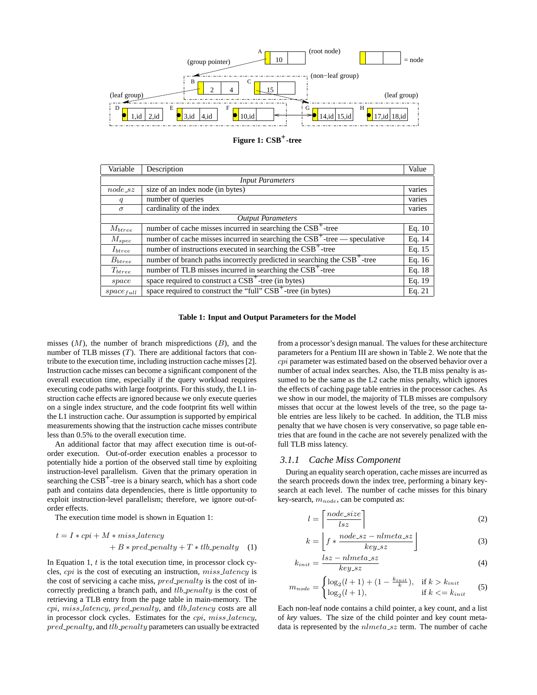



| Variable                 | Description                                                                          | Value    |  |
|--------------------------|--------------------------------------------------------------------------------------|----------|--|
| <b>Input Parameters</b>  |                                                                                      |          |  |
| $node$ <sub>-82</sub>    | size of an index node (in bytes)                                                     | varies   |  |
| q                        | number of queries                                                                    | varies   |  |
| $\sigma$                 | cardinality of the index                                                             | varies   |  |
| <b>Output Parameters</b> |                                                                                      |          |  |
| $M_{btree}$              | number of cache misses incurred in searching the CSB <sup>+</sup> -tree              | Eq. $10$ |  |
| $M_{spec}$               | number of cache misses incurred in searching the $CSB^+$ -tree — speculative         | Eq. 14   |  |
| $I_{\text{btree}}$       | number of instructions executed in searching the CSB <sup>+</sup> -tree              | Eq. 15   |  |
| $B_{btree}$              | number of branch paths incorrectly predicted in searching the CSB <sup>+</sup> -tree | Eq. 16   |  |
| $T_{\text{btree}}$       | number of TLB misses incurred in searching the CSB <sup>+</sup> -tree                | Eq. 18   |  |
| space                    | space required to construct a $CSB^+$ -tree (in bytes)                               | Eq. 19   |  |
| $space_{full}$           | space required to construct the "full" CSB <sup>+</sup> -tree (in bytes)             | Eq. 21   |  |

**Table 1: Input and Output Parameters for the Model**

misses  $(M)$ , the number of branch mispredictions  $(B)$ , and the number of TLB misses  $(T)$ . There are additional factors that contribute to the execution time, including instruction cache misses [2]. Instruction cache misses can become a significant component of the overall execution time, especially if the query workload requires executing code paths with large footprints. For this study, the L1 instruction cache effects are ignored because we only execute queries on a single index structure, and the code footprint fits well within the L1 instruction cache. Our assumption is supported by empirical measurements showing that the instruction cache misses contribute less than 0.5% to the overall execution time.

An additional factor that may affect execution time is out-oforder execution. Out-of-order execution enables a processor to potentially hide a portion of the observed stall time by exploiting instruction-level parallelism. Given that the primary operation in searching the  $CSB<sup>+</sup>$ -tree is a binary search, which has a short code path and contains data dependencies, there is little opportunity to exploit instruction-level parallelism; therefore, we ignore out-oforder effects.

The execution time model is shown in Equation 1:

$$
t = I * cpi + M * miss\_latency
$$
  
+ 
$$
B * pred\_penalty + T * tlb\_penalty
$$
 (1)

In Equation 1,  $t$  is the total execution time, in processor clock cycles, cpi is the cost of executing an instruction, miss latency is the cost of servicing a cache miss,  $pred\_penalty$  is the cost of incorrectly predicting a branch path, and *tlb\_penalty* is the cost of retrieving a TLB entry from the page table in main-memory. The cpi, miss latency, pred penalty, and tlb latency costs are all in processor clock cycles. Estimates for the cpi, miss latency,  $pred\_penalty$ , and  $tlb\_penalty$  parameters can usually be extracted from a processor's design manual. The values for these architecture parameters for a Pentium III are shown in Table 2. We note that the cpi parameter was estimated based on the observed behavior over a number of actual index searches. Also, the TLB miss penalty is assumed to be the same as the L2 cache miss penalty, which ignores the effects of caching page table entries in the processor caches. As we show in our model, the majority of TLB misses are compulsory misses that occur at the lowest levels of the tree, so the page table entries are less likely to be cached. In addition, the TLB miss penalty that we have chosen is very conservative, so page table entries that are found in the cache are not severely penalized with the full TLB miss latency.

#### *3.1.1 Cache Miss Component*

During an equality search operation, cache misses are incurred as the search proceeds down the index tree, performing a binary keysearch at each level. The number of cache misses for this binary key-search,  $m_{node}$ , can be computed as:

$$
l = \left\lceil \frac{node\_size}{lsz} \right\rceil \tag{2}
$$

$$
k = \left[ f * \frac{node\_sz - nlmeta\_sz}{key\_sz} \right]
$$
 (3)

$$
k_{init} = \frac{lsz - nlmeta\_sz}{key\_sz} \tag{4}
$$

$$
m_{node} = \begin{cases} \log_2(l+1) + (1 - \frac{k_{init}}{k}), & \text{if } k > k_{init} \\ \log_2(l+1), & \text{if } k < = k_{init} \end{cases}
$$
 (5)

Each non-leaf node contains a child pointer, a key count, and a list of *key* values. The size of the child pointer and key count metadata is represented by the  $nImeta$ -sz term. The number of cache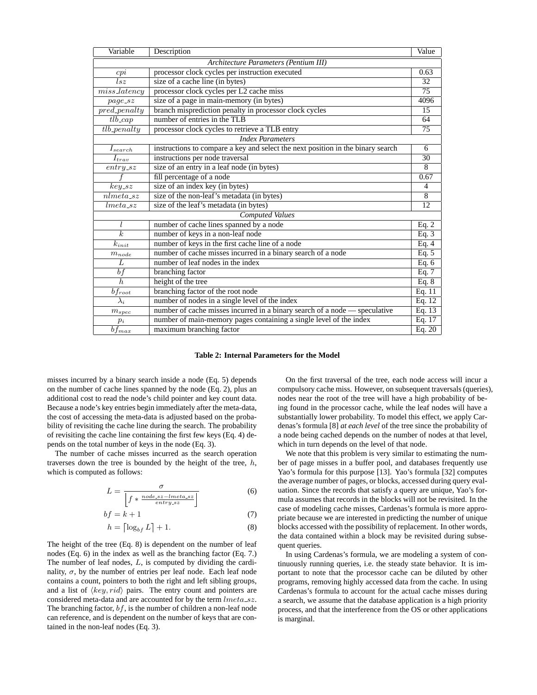| Variable                                                | Description                                                                     | Value           |  |
|---------------------------------------------------------|---------------------------------------------------------------------------------|-----------------|--|
| Architecture Parameters (Pentium III)                   |                                                                                 |                 |  |
| cpi                                                     | processor clock cycles per instruction executed                                 | 0.63            |  |
| $l$ sz                                                  | size of a cache line (in bytes)                                                 | 32              |  |
| $miss\_latency$                                         | processor clock cycles per L2 cache miss                                        | $\overline{75}$ |  |
| $page\_sz$                                              | size of a page in main-memory (in bytes)                                        | 4096            |  |
| $pred_$                                                 | branch misprediction penalty in processor clock cycles                          | 15              |  |
| $tlb$ <sub>cap</sub>                                    | number of entries in the TLB                                                    | 64              |  |
| $t\rightarrow t\rightarrow t\rightarrow t\rightarrow t$ | processor clock cycles to retrieve a TLB entry                                  | 75              |  |
| <b>Index Parameters</b>                                 |                                                                                 |                 |  |
| $I_{search}$                                            | instructions to compare a key and select the next position in the binary search | 6               |  |
| $I_{trav}$                                              | instructions per node traversal                                                 | $\overline{30}$ |  |
| $entry\_sz$                                             | size of an entry in a leaf node (in bytes)                                      | 8               |  |
|                                                         | fill percentage of a node                                                       | 0.67            |  |
| $key\_sz$                                               | size of an index key (in bytes)                                                 | $\overline{4}$  |  |
| $nlmeta_s$                                              | size of the non-leaf's metadata (in bytes)                                      | $\overline{8}$  |  |
| $lmeta_sz$                                              | size of the leaf's metadata (in bytes)                                          | 12              |  |
| <b>Computed Values</b>                                  |                                                                                 |                 |  |
| l                                                       | number of cache lines spanned by a node                                         | Eq. $2$         |  |
| $\overline{k}$                                          | number of keys in a non-leaf node                                               | Eq. 3           |  |
| $k_{init}$                                              | number of keys in the first cache line of a node                                | Eq. 4           |  |
| $m_{node}$                                              | number of cache misses incurred in a binary search of a node                    | Eq. 5           |  |
| L                                                       | number of leaf nodes in the index                                               | Eq. 6           |  |
| bf                                                      | branching factor                                                                | Eq. 7           |  |
| $\overline{h}$                                          | height of the tree                                                              | Eq. $8$         |  |
| $bf_{root}$                                             | branching factor of the root node                                               | Eq. 11          |  |
| $\lambda_i$                                             | number of nodes in a single level of the index                                  | Eq. $12$        |  |
| $m_{spec}$                                              | number of cache misses incurred in a binary search of a node — speculative      | Eq. 13          |  |
| $p_i$                                                   | number of main-memory pages containing a single level of the index              | Eq. $17$        |  |
| $\overline{b}f_{max}$                                   | maximum branching factor                                                        | Eq. $20$        |  |

#### **Table 2: Internal Parameters for the Model**

misses incurred by a binary search inside a node (Eq. 5) depends on the number of cache lines spanned by the node (Eq. 2), plus an additional cost to read the node's child pointer and key count data. Because a node's key entries begin immediately after the meta-data, the cost of accessing the meta-data is adjusted based on the probability of revisiting the cache line during the search. The probability of revisiting the cache line containing the first few keys (Eq. 4) depends on the total number of keys in the node (Eq. 3).

The number of cache misses incurred as the search operation traverses down the tree is bounded by the height of the tree,  $h$ , which is computed as follows:

$$
L = \frac{\sigma}{\left|f * \frac{node.sz - Imeta.sz}{entry.sz}\right|} \tag{6}
$$

$$
bf = k + 1 \tag{7}
$$

$$
h = \left\lceil \log_{bf} L \right\rceil + 1. \tag{8}
$$

The height of the tree (Eq. 8) is dependent on the number of leaf nodes (Eq. 6) in the index as well as the branching factor (Eq. 7.) The number of leaf nodes,  $L$ , is computed by dividing the cardinality,  $\sigma$ , by the number of entries per leaf node. Each leaf node contains a count, pointers to both the right and left sibling groups, and a list of  $\langle key, rid \rangle$  pairs. The entry count and pointers are considered meta-data and are accounted for by the term  $lmeta\_sz$ . The branching factor,  $bf$ , is the number of children a non-leaf node can reference, and is dependent on the number of keys that are contained in the non-leaf nodes (Eq. 3).

On the first traversal of the tree, each node access will incur a compulsory cache miss. However, on subsequent traversals (queries), nodes near the root of the tree will have a high probability of being found in the processor cache, while the leaf nodes will have a substantially lower probability. To model this effect, we apply Cardenas's formula [8] *at each level* of the tree since the probability of a node being cached depends on the number of nodes at that level, which in turn depends on the level of that node.

We note that this problem is very similar to estimating the number of page misses in a buffer pool, and databases frequently use Yao's formula for this purpose [13]. Yao's formula [32] computes the average number of pages, or blocks, accessed during query evaluation. Since the records that satisfy a query are unique, Yao's formula assumes that records in the blocks will not be revisited. In the case of modeling cache misses, Cardenas's formula is more appropriate because we are interested in predicting the number of unique blocks accessed with the possibility of replacement. In other words, the data contained within a block may be revisited during subsequent queries.

In using Cardenas's formula, we are modeling a system of continuously running queries, i.e. the steady state behavior. It is important to note that the processor cache can be diluted by other programs, removing highly accessed data from the cache. In using Cardenas's formula to account for the actual cache misses during a search, we assume that the database application is a high priority process, and that the interference from the OS or other applications is marginal.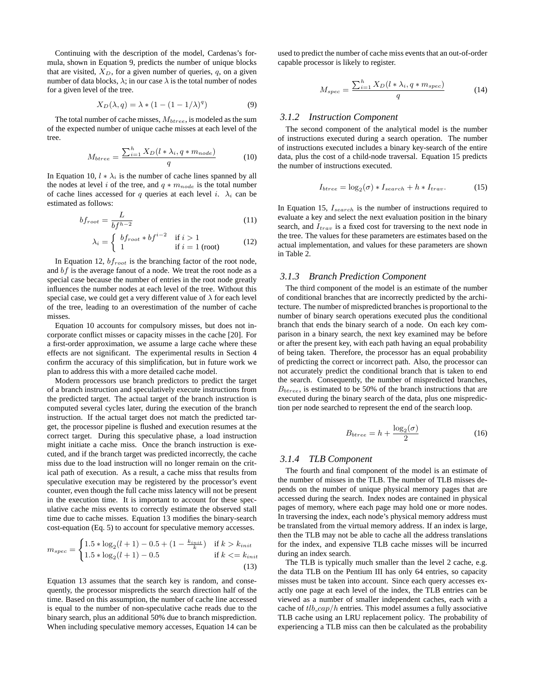Continuing with the description of the model, Cardenas's formula, shown in Equation 9, predicts the number of unique blocks that are visited,  $X_D$ , for a given number of queries, q, on a given number of data blocks,  $\lambda$ ; in our case  $\lambda$  is the total number of nodes for a given level of the tree.

$$
X_D(\lambda, q) = \lambda * (1 - (1 - 1/\lambda)^q)
$$
 (9)

The total number of cache misses,  $M_{\text{btree}}$ , is modeled as the sum of the expected number of unique cache misses at each level of the tree.

$$
M_{btree} = \frac{\sum_{i=1}^{h} X_D(l * \lambda_i, q * m_{node})}{q}
$$
 (10)

In Equation 10,  $l * \lambda_i$  is the number of cache lines spanned by all the nodes at level i of the tree, and  $q * m_{node}$  is the total number of cache lines accessed for q queries at each level i.  $\lambda_i$  can be estimated as follows:

$$
bf_{root} = \frac{L}{bf^{h-2}}
$$
 (11)

$$
\lambda_i = \begin{cases} bf_{root} * bf^{i-2} & \text{if } i > 1\\ 1 & \text{if } i = 1 \text{ (root)} \end{cases}
$$
 (12)

In Equation 12,  $bf_{root}$  is the branching factor of the root node, and  $bf$  is the average fanout of a node. We treat the root node as a special case because the number of entries in the root node greatly influences the number nodes at each level of the tree. Without this special case, we could get a very different value of  $\lambda$  for each level of the tree, leading to an overestimation of the number of cache misses.

Equation 10 accounts for compulsory misses, but does not incorporate conflict misses or capacity misses in the cache [20]. For a first-order approximation, we assume a large cache where these effects are not significant. The experimental results in Section 4 confirm the accuracy of this simplification, but in future work we plan to address this with a more detailed cache model.

Modern processors use branch predictors to predict the target of a branch instruction and speculatively execute instructions from the predicted target. The actual target of the branch instruction is computed several cycles later, during the execution of the branch instruction. If the actual target does not match the predicted target, the processor pipeline is flushed and execution resumes at the correct target. During this speculative phase, a load instruction might initiate a cache miss. Once the branch instruction is executed, and if the branch target was predicted incorrectly, the cache miss due to the load instruction will no longer remain on the critical path of execution. As a result, a cache miss that results from speculative execution may be registered by the processor's event counter, even though the full cache miss latency will not be present in the execution time. It is important to account for these speculative cache miss events to correctly estimate the observed stall time due to cache misses. Equation 13 modifies the binary-search cost-equation (Eq. 5) to account for speculative memory accesses.

$$
m_{spec} = \begin{cases} 1.5 * \log_2(l+1) - 0.5 + (1 - \frac{k_{init}}{k}) & \text{if } k > k_{init} \\ 1.5 * \log_2(l+1) - 0.5 & \text{if } k <= k_{init} \end{cases} \tag{13}
$$

Equation 13 assumes that the search key is random, and consequently, the processor mispredicts the search direction half of the time. Based on this assumption, the number of cache line accessed is equal to the number of non-speculative cache reads due to the binary search, plus an additional 50% due to branch misprediction. When including speculative memory accesses, Equation 14 can be

used to predict the number of cache miss events that an out-of-order capable processor is likely to register.

$$
M_{spec} = \frac{\sum_{i=1}^{h} X_D(l * \lambda_i, q * m_{spec})}{q}
$$
 (14)

#### *3.1.2 Instruction Component*

The second component of the analytical model is the number of instructions executed during a search operation. The number of instructions executed includes a binary key-search of the entire data, plus the cost of a child-node traversal. Equation 15 predicts the number of instructions executed.

$$
I_{btree} = \log_2(\sigma) * I_{search} + h * I_{trav}.
$$
 (15)

In Equation 15,  $I_{search}$  is the number of instructions required to evaluate a key and select the next evaluation position in the binary search, and  $I_{trav}$  is a fixed cost for traversing to the next node in the tree. The values for these parameters are estimates based on the actual implementation, and values for these parameters are shown in Table 2.

#### *3.1.3 Branch Prediction Component*

The third component of the model is an estimate of the number of conditional branches that are incorrectly predicted by the architecture. The number of mispredicted branches is proportional to the number of binary search operations executed plus the conditional branch that ends the binary search of a node. On each key comparison in a binary search, the next key examined may be before or after the present key, with each path having an equal probability of being taken. Therefore, the processor has an equal probability of predicting the correct or incorrect path. Also, the processor can not accurately predict the conditional branch that is taken to end the search. Consequently, the number of mispredicted branches,  $B_{\text{btree}}$ , is estimated to be 50% of the branch instructions that are executed during the binary search of the data, plus one misprediction per node searched to represent the end of the search loop.

$$
B_{btree} = h + \frac{\log_2(\sigma)}{2} \tag{16}
$$

### *3.1.4 TLB Component*

The fourth and final component of the model is an estimate of the number of misses in the TLB. The number of TLB misses depends on the number of unique physical memory pages that are accessed during the search. Index nodes are contained in physical pages of memory, where each page may hold one or more nodes. In traversing the index, each node's physical memory address must be translated from the virtual memory address. If an index is large, then the TLB may not be able to cache all the address translations for the index, and expensive TLB cache misses will be incurred during an index search.

The TLB is typically much smaller than the level 2 cache, e.g. the data TLB on the Pentium III has only 64 entries, so capacity misses must be taken into account. Since each query accesses exactly one page at each level of the index, the TLB entries can be viewed as a number of smaller independent caches, each with a cache of  $tlb$ <sub>ca</sub> $p/h$  entries. This model assumes a fully associative TLB cache using an LRU replacement policy. The probability of experiencing a TLB miss can then be calculated as the probability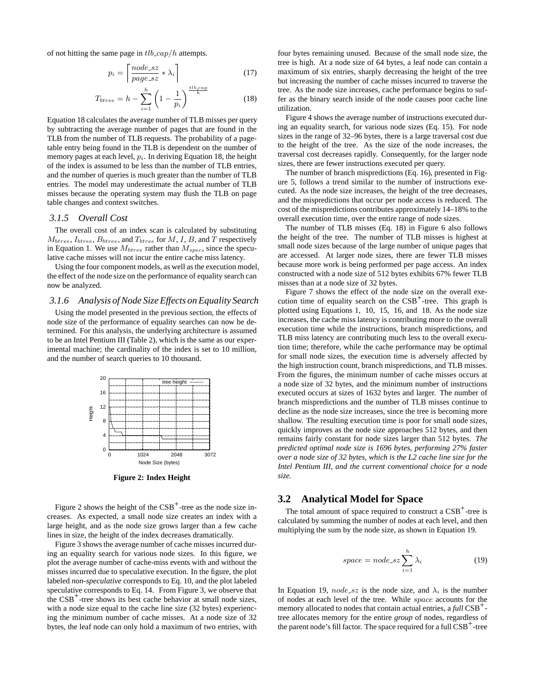of not hitting the same page in  $tlb$ <sub>cap</sub>/h attempts.

$$
p_i = \left\lceil \frac{node\_sz}{page\_sz} * \lambda_i \right\rceil \tag{17}
$$

$$
T_{btree} = h - \sum_{i=1}^{h} \left( 1 - \frac{1}{p_i} \right)^{\frac{tlb \cdot cap}{h}}
$$
 (18)

Equation 18 calculates the average number of TLB misses per query by subtracting the average number of pages that are found in the TLB from the number of TLB requests. The probability of a pagetable entry being found in the TLB is dependent on the number of memory pages at each level,  $p_i$ . In deriving Equation 18, the height of the index is assumed to be less than the number of TLB entries, and the number of queries is much greater than the number of TLB entries. The model may underestimate the actual number of TLB misses because the operating system may flush the TLB on page table changes and context switches.

#### *3.1.5 Overall Cost*

The overall cost of an index scan is calculated by substituting  $M_{btree}$ ,  $I_{btree}$ ,  $B_{btree}$ , and  $T_{btree}$  for  $M$ ,  $I$ ,  $B$ , and  $T$  respectively in Equation 1. We use  $M_{\text{btree}}$  rather than  $M_{\text{spec}}$ , since the speculative cache misses will not incur the entire cache miss latency.

Using the four component models, as well as the execution model, the effect of the node size on the performance of equality search can now be analyzed.

#### *3.1.6 Analysis of Node Size Effects on Equality Search*

Using the model presented in the previous section, the effects of node size of the performance of equality searches can now be determined. For this analysis, the underlying architecture is assumed to be an Intel Pentium III (Table 2), which is the same as our experimental machine; the cardinality of the index is set to 10 million, and the number of search queries to 10 thousand.



**Figure 2: Index Height**

Figure 2 shows the height of the  $CSB^+$ -tree as the node size increases. As expected, a small node size creates an index with a large height, and as the node size grows larger than a few cache lines in size, the height of the index decreases dramatically.

Figure 3 shows the average number of cache misses incurred during an equality search for various node sizes. In this figure, we plot the average number of cache-miss events with and without the misses incurred due to speculative execution. In the figure, the plot labeled *non-speculative* corresponds to Eq. 10, and the plot labeled speculative corresponds to Eq. 14. From Figure 3, we observe that the  $CSB<sup>+</sup>$ -tree shows its best cache behavior at small node sizes, with a node size equal to the cache line size (32 bytes) experiencing the minimum number of cache misses. At a node size of 32 bytes, the leaf node can only hold a maximum of two entries, with

four bytes remaining unused. Because of the small node size, the tree is high. At a node size of 64 bytes, a leaf node can contain a maximum of six entries, sharply decreasing the height of the tree but increasing the number of cache misses incurred to traverse the tree. As the node size increases, cache performance begins to suffer as the binary search inside of the node causes poor cache line utilization.

Figure 4 shows the average number of instructions executed during an equality search, for various node sizes (Eq. 15). For node sizes in the range of 32–96 bytes, there is a large traversal cost due to the height of the tree. As the size of the node increases, the traversal cost decreases rapidly. Consequently, for the larger node sizes, there are fewer instructions executed per query.

The number of branch mispredictions (Eq. 16), presented in Figure 5, follows a trend similar to the number of instructions executed. As the node size increases, the height of the tree decreases, and the mispredictions that occur per node access is reduced. The cost of the mispredictions contributes approximately 14–18% to the overall execution time, over the entire range of node sizes.

The number of TLB misses (Eq. 18) in Figure 6 also follows the height of the tree. The number of TLB misses is highest at small node sizes because of the large number of unique pages that are accessed. At larger node sizes, there are fewer TLB misses because more work is being performed per page access. An index constructed with a node size of 512 bytes exhibits 67% fewer TLB misses than at a node size of 32 bytes.

Figure 7 shows the effect of the node size on the overall execution time of equality search on the  $CSB<sup>+</sup>$ -tree. This graph is plotted using Equations 1, 10, 15, 16, and 18. As the node size increases, the cache miss latency is contributing more to the overall execution time while the instructions, branch mispredictions, and TLB miss latency are contributing much less to the overall execution time; therefore, while the cache performance may be optimal for small node sizes, the execution time is adversely affected by the high instruction count, branch mispredictions, and TLB misses. From the figures, the minimum number of cache misses occurs at a node size of 32 bytes, and the minimum number of instructions executed occurs at sizes of 1632 bytes and larger. The number of branch mispredictions and the number of TLB misses continue to decline as the node size increases, since the tree is becoming more shallow. The resulting execution time is poor for small node sizes, quickly improves as the node size approaches 512 bytes, and then remains fairly constant for node sizes larger than 512 bytes. *The predicted optimal node size is 1696 bytes, performing 27% faster over a node size of 32 bytes, which is the L2 cache line size for the Intel Pentium III, and the current conventional choice for a node size.*

#### **3.2 Analytical Model for Space**

The total amount of space required to construct a  $\text{CSB}^+$ -tree is calculated by summing the number of nodes at each level, and then multiplying the sum by the node size, as shown in Equation 19.

$$
space = node\_sz \sum_{i=1}^{h} \lambda_i
$$
 (19)

In Equation 19, node\_sz is the node size, and  $\lambda_i$  is the number of nodes at each level of the tree. While space accounts for the memory allocated to nodes that contain actual entries, a *full* CSB<sup>+</sup>tree allocates memory for the entire *group* of nodes, regardless of the parent node's fill factor. The space required for a full CSB<sup>+</sup>-tree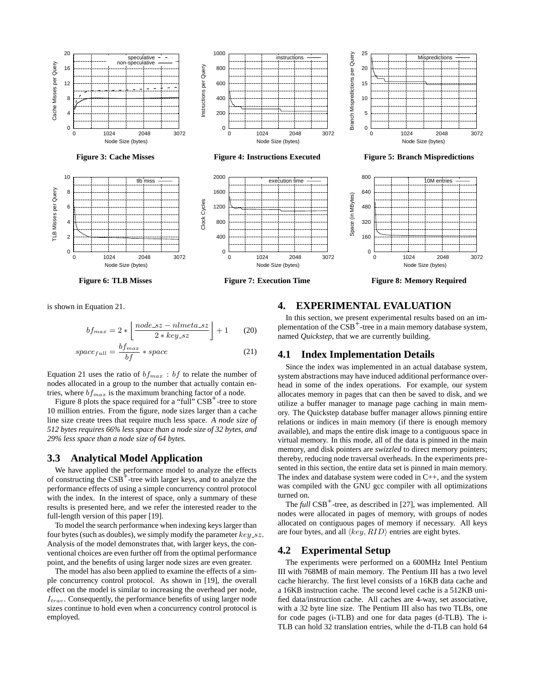

is shown in Equation 21.

$$
bf_{max} = 2 * \left\lfloor \frac{node\_sz - nlmeta\_sz}{2 * key\_sz} \right\rfloor + 1 \qquad (20)
$$

$$
space_{full} = \frac{bf_{max}}{bf} * space
$$
 (21)

Equation 21 uses the ratio of  $bf_{max}$ : bf to relate the number of nodes allocated in a group to the number that actually contain entries, where  $bf_{max}$  is the maximum branching factor of a node.

Figure 8 plots the space required for a "full"  $CSB<sup>+</sup>$ -tree to store 10 million entries. From the figure, node sizes larger than a cache line size create trees that require much less space. *A node size of 512 bytes requires 66% less space than a node size of 32 bytes, and 29% less space than a node size of 64 bytes.*

## **3.3 Analytical Model Application**

We have applied the performance model to analyze the effects of constructing the  $CSB<sup>+</sup>$ -tree with larger keys, and to analyze the performance effects of using a simple concurrency control protocol with the index. In the interest of space, only a summary of these results is presented here, and we refer the interested reader to the full-length version of this paper [19].

To model the search performance when indexing keys larger than four bytes (such as doubles), we simply modify the parameter  $key\_sz$ . Analysis of the model demonstrates that, with larger keys, the conventional choices are even further off from the optimal performance point, and the benefits of using larger node sizes are even greater.

The model has also been applied to examine the effects of a simple concurrency control protocol. As shown in [19], the overall effect on the model is similar to increasing the overhead per node,  $I_{trav}$ . Consequently, the performance benefits of using larger node sizes continue to hold even when a concurrency control protocol is employed.

# **4. EXPERIMENTAL EVALUATION**

In this section, we present experimental results based on an implementation of the CSB<sup>+</sup>-tree in a main memory database system, named *Quickstep*, that we are currently building.

#### **4.1 Index Implementation Details**

Since the index was implemented in an actual database system, system abstractions may have induced additional performance overhead in some of the index operations. For example, our system allocates memory in pages that can then be saved to disk, and we utilize a buffer manager to manage page caching in main memory. The Quickstep database buffer manager allows pinning entire relations or indices in main memory (if there is enough memory available), and maps the entire disk image to a contiguous space in virtual memory. In this mode, all of the data is pinned in the main memory, and disk pointers are *swizzled* to direct memory pointers; thereby, reducing node traversal overheads. In the experiments presented in this section, the entire data set is pinned in main memory. The index and database system were coded in C++, and the system was compiled with the GNU gcc compiler with all optimizations turned on.

The *full* CSB<sup>+</sup>-tree, as described in [27], was implemented. All nodes were allocated in pages of memory, with groups of nodes allocated on contiguous pages of memory if necessary. All keys are four bytes, and all  $\langle key, RID \rangle$  entries are eight bytes.

#### **4.2 Experimental Setup**

The experiments were performed on a 600MHz Intel Pentium III with 768MB of main memory. The Pentium III has a two level cache hierarchy. The first level consists of a 16KB data cache and a 16KB instruction cache. The second level cache is a 512KB unified data/instruction cache. All caches are 4-way, set associative, with a 32 byte line size. The Pentium III also has two TLBs, one for code pages (i-TLB) and one for data pages (d-TLB). The i-TLB can hold 32 translation entries, while the d-TLB can hold 64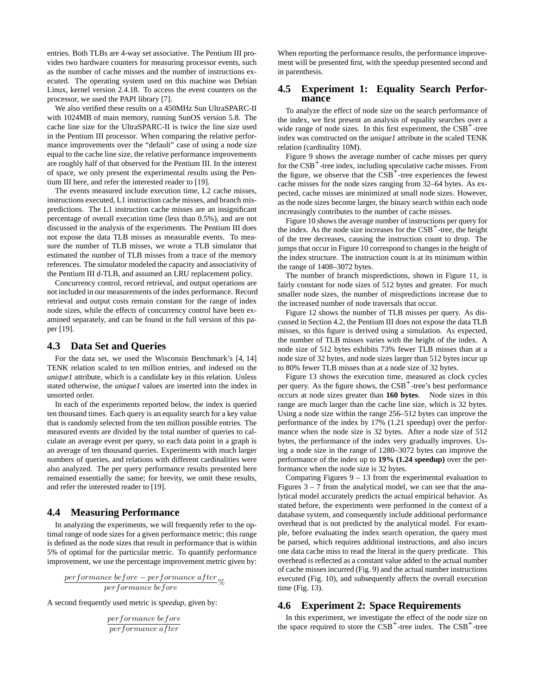entries. Both TLBs are 4-way set associative. The Pentium III provides two hardware counters for measuring processor events, such as the number of cache misses and the number of instructions executed. The operating system used on this machine was Debian Linux, kernel version 2.4.18. To access the event counters on the processor, we used the PAPI library [7].

We also verified these results on a 450MHz Sun UltraSPARC-II with 1024MB of main memory, running SunOS version 5.8. The cache line size for the UltraSPARC-II is twice the line size used in the Pentium III processor. When comparing the relative performance improvements over the "default" case of using a node size equal to the cache line size, the relative performance improvements are roughly half of that observed for the Pentium III. In the interest of space, we only present the experimental results using the Pentium III here, and refer the interested reader to [19].

The events measured include execution time, L2 cache misses, instructions executed, L1 instruction cache misses, and branch mispredictions. The L1 instruction cache misses are an insignificant percentage of overall execution time (less than 0.5%), and are not discussed in the analysis of the experiments. The Pentium III does not expose the data TLB misses as measurable events. To measure the number of TLB misses, we wrote a TLB simulator that estimated the number of TLB misses from a trace of the memory references. The simulator modeled the capacity and associativity of the Pentium III d-TLB, and assumed an LRU replacement policy.

Concurrency control, record retrieval, and output operations are not included in our measurements of the index performance. Record retrieval and output costs remain constant for the range of index node sizes, while the effects of concurrency control have been examined separately, and can be found in the full version of this paper [19].

#### **4.3 Data Set and Queries**

For the data set, we used the Wisconsin Benchmark's [4, 14] TENK relation scaled to ten million entries, and indexed on the *unique1* attribute, which is a candidate key in this relation. Unless stated otherwise, the *unique1* values are inserted into the index in unsorted order.

In each of the experiments reported below, the index is queried ten thousand times. Each query is an equality search for a key value that is randomly selected from the ten million possible entries. The measured events are divided by the total number of queries to calculate an average event per query, so each data point in a graph is an average of ten thousand queries. Experiments with much larger numbers of queries, and relations with different cardinalities were also analyzed. The per query performance results presented here remained essentially the same; for brevity, we omit these results, and refer the interested reader to [19].

## **4.4 Measuring Performance**

In analyzing the experiments, we will frequently refer to the optimal range of node sizes for a given performance metric; this range is defined as the node sizes that result in performance that is within 5% of optimal for the particular metric. To quantify performance improvement, we use the percentage improvement metric given by:

 $\frac{performance\ before -performance\ after}{performance\ before -performance\ after} \%$ 

A second frequently used metric is *speedup*, given by:

$$
\frac{performance\ before}{performance\ after}
$$

When reporting the performance results, the performance improvement will be presented first, with the speedup presented second and in parenthesis.

## **4.5 Experiment 1: Equality Search Performance**

To analyze the effect of node size on the search performance of the index, we first present an analysis of equality searches over a wide range of node sizes. In this first experiment, the CSB<sup>+</sup>-tree index was constructed on the *unique1* attribute in the scaled TENK relation (cardinality 10M).

Figure 9 shows the average number of cache misses per query for the CSB+ -tree index, including speculative cache misses. From the figure, we observe that the  $CSB<sup>+</sup>$ -tree experiences the fewest cache misses for the node sizes ranging from 32–64 bytes. As expected, cache misses are minimized at small node sizes. However, as the node sizes become larger, the binary search within each node increasingly contributes to the number of cache misses.

Figure 10 shows the average number of instructions per query for the index. As the node size increases for the  $CSB<sup>+</sup>$ -tree, the height of the tree decreases, causing the instruction count to drop. The jumps that occur in Figure 10 correspond to changes in the height of the index structure. The instruction count is at its minimum within the range of 1408–3072 bytes.

The number of branch mispredictions, shown in Figure 11, is fairly constant for node sizes of 512 bytes and greater. For much smaller node sizes, the number of mispredictions increase due to the increased number of node traversals that occur.

Figure 12 shows the number of TLB misses per query. As discussed in Section 4.2, the Pentium III does not expose the data TLB misses, so this figure is derived using a simulation. As expected, the number of TLB misses varies with the height of the index. A node size of 512 bytes exhibits 73% fewer TLB misses than at a node size of 32 bytes, and node sizes larger than 512 bytes incur up to 80% fewer TLB misses than at a node size of 32 bytes.

Figure 13 shows the execution time, measured as clock cycles per query. As the figure shows, the CSB<sup>+</sup>-tree's best performance occurs at node sizes greater than **160 bytes**. Node sizes in this range are much larger than the cache line size, which is 32 bytes. Using a node size within the range 256–512 bytes can improve the performance of the index by 17% (1.21 speedup) over the performance when the node size is 32 bytes. After a node size of 512 bytes, the performance of the index very gradually improves. Using a node size in the range of 1280–3072 bytes can improve the performance of the index up to **19% (1.24 speedup)** over the performance when the node size is 32 bytes.

Comparing Figures  $9 - 13$  from the experimental evaluation to Figures  $3 - 7$  from the analytical model, we can see that the analytical model accurately predicts the actual empirical behavior. As stated before, the experiments were performed in the context of a database system, and consequently include additional performance overhead that is not predicted by the analytical model. For example, before evaluating the index search operation, the query must be parsed, which requires additional instructions, and also incurs one data cache miss to read the literal in the query predicate. This overhead is reflected as a constant value added to the actual number of cache misses incurred (Fig. 9) and the actual number instructions executed (Fig. 10), and subsequently affects the overall execution time (Fig. 13).

# **4.6 Experiment 2: Space Requirements**

In this experiment, we investigate the effect of the node size on the space required to store the  $CSB<sup>+</sup>$ -tree index. The  $CSB<sup>+</sup>$ -tree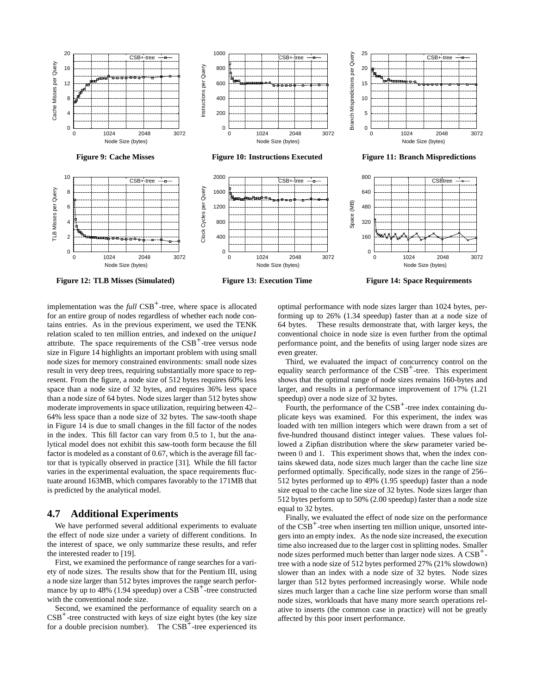

implementation was the *full* CSB<sup>+</sup>-tree, where space is allocated for an entire group of nodes regardless of whether each node contains entries. As in the previous experiment, we used the TENK relation scaled to ten million entries, and indexed on the *unique1* attribute. The space requirements of the  $CSB<sup>+</sup>$ -tree versus node size in Figure 14 highlights an important problem with using small node sizes for memory constrained environments: small node sizes result in very deep trees, requiring substantially more space to represent. From the figure, a node size of 512 bytes requires 60% less space than a node size of 32 bytes, and requires 36% less space than a node size of 64 bytes. Node sizes larger than 512 bytes show moderate improvements in space utilization, requiring between 42– 64% less space than a node size of 32 bytes. The saw-tooth shape in Figure 14 is due to small changes in the fill factor of the nodes in the index. This fill factor can vary from 0.5 to 1, but the analytical model does not exhibit this saw-tooth form because the fill factor is modeled as a constant of 0.67, which is the average fill factor that is typically observed in practice [31]. While the fill factor varies in the experimental evaluation, the space requirements fluctuate around 163MB, which compares favorably to the 171MB that is predicted by the analytical model.

## **4.7 Additional Experiments**

We have performed several additional experiments to evaluate the effect of node size under a variety of different conditions. In the interest of space, we only summarize these results, and refer the interested reader to [19].

First, we examined the performance of range searches for a variety of node sizes. The results show that for the Pentium III, using a node size larger than 512 bytes improves the range search performance by up to 48% (1.94 speedup) over a CSB<sup>+</sup>-tree constructed with the conventional node size.

Second, we examined the performance of equality search on a  $CSB<sup>+</sup>$ -tree constructed with keys of size eight bytes (the key size for a double precision number). The  $CSB<sup>+</sup>$ -tree experienced its

optimal performance with node sizes larger than 1024 bytes, performing up to 26% (1.34 speedup) faster than at a node size of 64 bytes. These results demonstrate that, with larger keys, the conventional choice in node size is even further from the optimal performance point, and the benefits of using larger node sizes are even greater.

Third, we evaluated the impact of concurrency control on the equality search performance of the CSB<sup>+</sup>-tree. This experiment shows that the optimal range of node sizes remains 160-bytes and larger, and results in a performance improvement of 17% (1.21 speedup) over a node size of 32 bytes.

Fourth, the performance of the  $CSB^+$ -tree index containing duplicate keys was examined. For this experiment, the index was loaded with ten million integers which were drawn from a set of five-hundred thousand distinct integer values. These values followed a Zipfian distribution where the *skew* parameter varied between 0 and 1. This experiment shows that, when the index contains skewed data, node sizes much larger than the cache line size performed optimally. Specifically, node sizes in the range of 256– 512 bytes performed up to 49% (1.95 speedup) faster than a node size equal to the cache line size of 32 bytes. Node sizes larger than 512 bytes perform up to 50% (2.00 speedup) faster than a node size equal to 32 bytes.

Finally, we evaluated the effect of node size on the performance of the CSB<sup>+</sup>-tree when inserting ten million unique, unsorted integers into an empty index. As the node size increased, the execution time also increased due to the larger cost in splitting nodes. Smaller node sizes performed much better than larger node sizes. A CSB<sup>+</sup>tree with a node size of 512 bytes performed 27% (21% slowdown) slower than an index with a node size of 32 bytes. Node sizes larger than 512 bytes performed increasingly worse. While node sizes much larger than a cache line size perform worse than small node sizes, workloads that have many more search operations relative to inserts (the common case in practice) will not be greatly affected by this poor insert performance.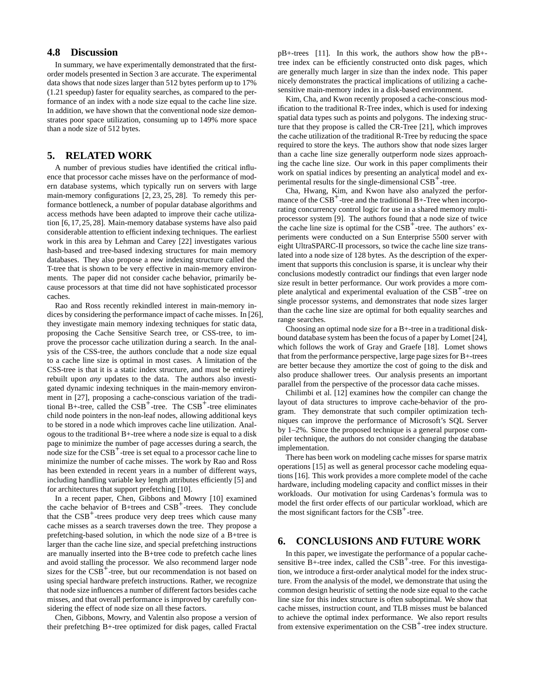# **4.8 Discussion**

In summary, we have experimentally demonstrated that the firstorder models presented in Section 3 are accurate. The experimental data shows that node sizes larger than 512 bytes perform up to 17% (1.21 speedup) faster for equality searches, as compared to the performance of an index with a node size equal to the cache line size. In addition, we have shown that the conventional node size demonstrates poor space utilization, consuming up to 149% more space than a node size of 512 bytes.

## **5. RELATED WORK**

A number of previous studies have identified the critical influence that processor cache misses have on the performance of modern database systems, which typically run on servers with large main-memory configurations [2, 23, 25, 28]. To remedy this performance bottleneck, a number of popular database algorithms and access methods have been adapted to improve their cache utilization [6, 17, 25, 28]. Main-memory database systems have also paid considerable attention to efficient indexing techniques. The earliest work in this area by Lehman and Carey [22] investigates various hash-based and tree-based indexing structures for main memory databases. They also propose a new indexing structure called the T-tree that is shown to be very effective in main-memory environments. The paper did not consider cache behavior, primarily because processors at that time did not have sophisticated processor caches.

Rao and Ross recently rekindled interest in main-memory indices by considering the performance impact of cache misses. In [26], they investigate main memory indexing techniques for static data, proposing the Cache Sensitive Search tree, or CSS-tree, to improve the processor cache utilization during a search. In the analysis of the CSS-tree, the authors conclude that a node size equal to a cache line size is optimal in most cases. A limitation of the CSS-tree is that it is a static index structure, and must be entirely rebuilt upon *any* updates to the data. The authors also investigated dynamic indexing techniques in the main-memory environment in [27], proposing a cache-conscious variation of the traditional B+-tree, called the  $CSB<sup>+</sup>$ -tree. The  $CSB<sup>+</sup>$ -tree eliminates child node pointers in the non-leaf nodes, allowing additional keys to be stored in a node which improves cache line utilization. Analogous to the traditional B+-tree where a node size is equal to a disk page to minimize the number of page accesses during a search, the node size for the CSB<sup>+</sup>-tree is set equal to a processor cache line to minimize the number of cache misses. The work by Rao and Ross has been extended in recent years in a number of different ways, including handling variable key length attributes efficiently [5] and for architectures that support prefetching [10].

In a recent paper, Chen, Gibbons and Mowry [10] examined the cache behavior of B+trees and CSB<sup>+</sup>-trees. They conclude that the CSB<sup>+</sup>-trees produce very deep trees which cause many cache misses as a search traverses down the tree. They propose a prefetching-based solution, in which the node size of a B+tree is larger than the cache line size, and special prefetching instructions are manually inserted into the B+tree code to prefetch cache lines and avoid stalling the processor. We also recommend larger node sizes for the CSB<sup>+</sup>-tree, but our recommendation is not based on using special hardware prefetch instructions. Rather, we recognize that node size influences a number of different factors besides cache misses, and that overall performance is improved by carefully considering the effect of node size on all these factors.

Chen, Gibbons, Mowry, and Valentin also propose a version of their prefetching B+-tree optimized for disk pages, called Fractal

pB+-trees [11]. In this work, the authors show how the pB+ tree index can be efficiently constructed onto disk pages, which are generally much larger in size than the index node. This paper nicely demonstrates the practical implications of utilizing a cachesensitive main-memory index in a disk-based environment.

Kim, Cha, and Kwon recently proposed a cache-conscious modification to the traditional R-Tree index, which is used for indexing spatial data types such as points and polygons. The indexing structure that they propose is called the CR-Tree [21], which improves the cache utilization of the traditional R-Tree by reducing the space required to store the keys. The authors show that node sizes larger than a cache line size generally outperform node sizes approaching the cache line size. Our work in this paper compliments their work on spatial indices by presenting an analytical model and experimental results for the single-dimensional CSB<sup>+</sup>-tree.

Cha, Hwang, Kim, and Kwon have also analyzed the performance of the CSB<sup>+</sup>-tree and the traditional B+-Tree when incorporating concurrency control logic for use in a shared memory multiprocessor system [9]. The authors found that a node size of twice the cache line size is optimal for the  $CSB<sup>+</sup>$ -tree. The authors' experiments were conducted on a Sun Enterprise 5500 server with eight UltraSPARC-II processors, so twice the cache line size translated into a node size of 128 bytes. As the description of the experiment that supports this conclusion is sparse, it is unclear why their conclusions modestly contradict our findings that even larger node size result in better performance. Our work provides a more complete analytical and experimental evaluation of the CSB<sup>+</sup>-tree on single processor systems, and demonstrates that node sizes larger than the cache line size are optimal for both equality searches and range searches.

Choosing an optimal node size for a B+-tree in a traditional diskbound database system has been the focus of a paper by Lomet [24], which follows the work of Gray and Graefe [18]. Lomet shows that from the performance perspective, large page sizes for B+-trees are better because they amortize the cost of going to the disk and also produce shallower trees. Our analysis presents an important parallel from the perspective of the processor data cache misses.

Chilimbi et al. [12] examines how the compiler can change the layout of data structures to improve cache-behavior of the program. They demonstrate that such compiler optimization techniques can improve the performance of Microsoft's SQL Server by 1–2%. Since the proposed technique is a general purpose compiler technique, the authors do not consider changing the database implementation.

There has been work on modeling cache misses for sparse matrix operations [15] as well as general processor cache modeling equations [16]. This work provides a more complete model of the cache hardware, including modeling capacity and conflict misses in their workloads. Our motivation for using Cardenas's formula was to model the first order effects of our particular workload, which are the most significant factors for the CSB<sup>+</sup>-tree.

# **6. CONCLUSIONS AND FUTURE WORK**

In this paper, we investigate the performance of a popular cachesensitive B+-tree index, called the CSB<sup>+</sup>-tree. For this investigation, we introduce a first-order analytical model for the index structure. From the analysis of the model, we demonstrate that using the common design heuristic of setting the node size equal to the cache line size for this index structure is often suboptimal. We show that cache misses, instruction count, and TLB misses must be balanced to achieve the optimal index performance. We also report results from extensive experimentation on the CSB<sup>+</sup>-tree index structure.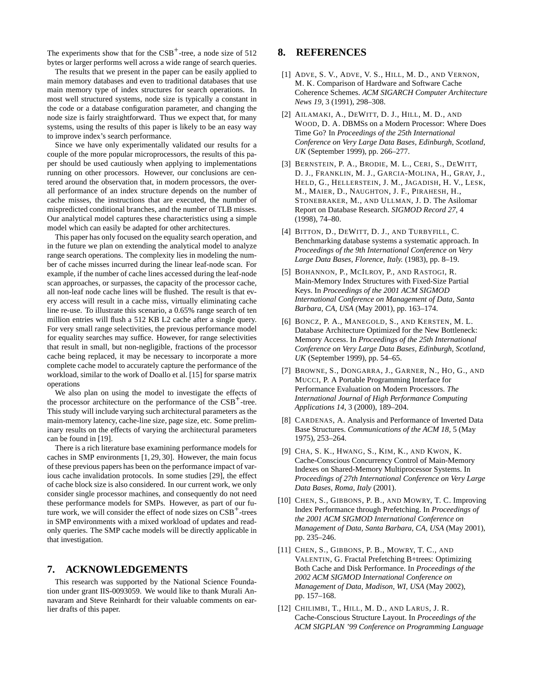The experiments show that for the  $CSB^+$ -tree, a node size of 512 bytes or larger performs well across a wide range of search queries.

The results that we present in the paper can be easily applied to main memory databases and even to traditional databases that use main memory type of index structures for search operations. In most well structured systems, node size is typically a constant in the code or a database configuration parameter, and changing the node size is fairly straightforward. Thus we expect that, for many systems, using the results of this paper is likely to be an easy way to improve index's search performance.

Since we have only experimentally validated our results for a couple of the more popular microprocessors, the results of this paper should be used cautiously when applying to implementations running on other processors. However, our conclusions are centered around the observation that, in modern processors, the overall performance of an index structure depends on the number of cache misses, the instructions that are executed, the number of mispredicted conditional branches, and the number of TLB misses. Our analytical model captures these characteristics using a simple model which can easily be adapted for other architectures.

This paper has only focused on the equality search operation, and in the future we plan on extending the analytical model to analyze range search operations. The complexity lies in modeling the number of cache misses incurred during the linear leaf-node scan. For example, if the number of cache lines accessed during the leaf-node scan approaches, or surpasses, the capacity of the processor cache, all non-leaf node cache lines will be flushed. The result is that every access will result in a cache miss, virtually eliminating cache line re-use. To illustrate this scenario, a 0.65% range search of ten million entries will flush a 512 KB L2 cache after a single query. For very small range selectivities, the previous performance model for equality searches may suffice. However, for range selectivities that result in small, but non-negligible, fractions of the processor cache being replaced, it may be necessary to incorporate a more complete cache model to accurately capture the performance of the workload, similar to the work of Doallo et al. [15] for sparse matrix operations

We also plan on using the model to investigate the effects of the processor architecture on the performance of the CSB<sup>+</sup>-tree. This study will include varying such architectural parameters as the main-memory latency, cache-line size, page size, etc. Some preliminary results on the effects of varying the architectural parameters can be found in [19].

There is a rich literature base examining performance models for caches in SMP environments [1, 29, 30]. However, the main focus of these previous papers has been on the performance impact of various cache invalidation protocols. In some studies [29], the effect of cache block size is also considered. In our current work, we only consider single processor machines, and consequently do not need these performance models for SMPs. However, as part of our future work, we will consider the effect of node sizes on  $CSB<sup>+</sup>$ -trees in SMP environments with a mixed workload of updates and readonly queries. The SMP cache models will be directly applicable in that investigation.

## **7. ACKNOWLEDGEMENTS**

This research was supported by the National Science Foundation under grant IIS-0093059. We would like to thank Murali Annavaram and Steve Reinhardt for their valuable comments on earlier drafts of this paper.

## **8. REFERENCES**

- [1] ADVE, S. V., ADVE, V. S., HILL, M. D., AND VERNON, M. K. Comparison of Hardware and Software Cache Coherence Schemes. *ACM SIGARCH Computer Architecture News 19*, 3 (1991), 298–308.
- [2] AILAMAKI, A., DEWITT, D. J., HILL, M. D., AND WOOD, D. A. DBMSs on a Modern Processor: Where Does Time Go? In *Proceedings of the 25th International Conference on Very Large Data Bases, Edinburgh, Scotland, UK* (September 1999), pp. 266–277.
- [3] BERNSTEIN, P. A., BRODIE, M. L., CERI, S., DEWITT, D. J., FRANKLIN, M. J., GARCIA-MOLINA, H., GRAY, J., HELD, G., HELLERSTEIN, J. M., JAGADISH, H. V., LESK, M., MAIER, D., NAUGHTON, J. F., PIRAHESH, H., STONEBRAKER, M., AND ULLMAN, J. D. The Asilomar Report on Database Research. *SIGMOD Record 27*, 4 (1998), 74–80.
- [4] BITTON, D., DEWITT, D. J., AND TURBYFILL, C. Benchmarking database systems a systematic approach. In *Proceedings of the 9th International Conference on Very Large Data Bases, Florence, Italy.* (1983), pp. 8–19.
- [5] BOHANNON, P., MCILROY, P., AND RASTOGI, R. Main-Memory Index Structures with Fixed-Size Partial Keys. In *Proceedings of the 2001 ACM SIGMOD International Conference on Management of Data, Santa Barbara, CA, USA* (May 2001), pp. 163–174.
- [6] BONCZ, P. A., MANEGOLD, S., AND KERSTEN, M. L. Database Architecture Optimized for the New Bottleneck: Memory Access. In *Proceedings of the 25th International Conference on Very Large Data Bases, Edinburgh, Scotland, UK* (September 1999), pp. 54–65.
- [7] BROWNE, S., DONGARRA, J., GARNER, N., HO, G., AND MUCCI, P. A Portable Programming Interface for Performance Evaluation on Modern Processors. *The International Journal of High Performance Computing Applications 14*, 3 (2000), 189–204.
- [8] CARDENAS, A. Analysis and Performance of Inverted Data Base Structures. *Communications of the ACM 18*, 5 (May 1975), 253–264.
- [9] CHA, S. K., HWANG, S., KIM, K., AND KWON, K. Cache-Conscious Concurrency Control of Main-Memory Indexes on Shared-Memory Multiprocessor Systems. In *Proceedings of 27th International Conference on Very Large Data Bases, Roma, Italy* (2001).
- [10] CHEN, S., GIBBONS, P. B., AND MOWRY, T. C. Improving Index Performance through Prefetching. In *Proceedings of the 2001 ACM SIGMOD International Conference on Management of Data, Santa Barbara, CA, USA* (May 2001), pp. 235–246.
- [11] CHEN, S., GIBBONS, P. B., MOWRY, T. C., AND VALENTIN, G. Fractal Prefetching B+trees: Optimizing Both Cache and Disk Performance. In *Proceedings of the 2002 ACM SIGMOD International Conference on Management of Data, Madison, WI, USA* (May 2002), pp. 157–168.
- [12] CHILIMBI, T., HILL, M. D., AND LARUS, J. R. Cache-Conscious Structure Layout. In *Proceedings of the ACM SIGPLAN '99 Conference on Programming Language*